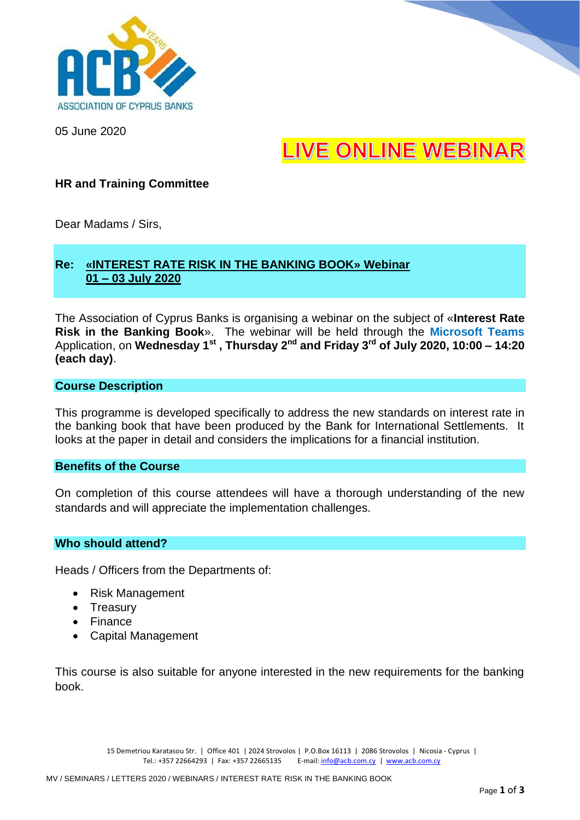

05 June 2020

# **LIVE ONLINE WEBINAR**

# **HR and Training Committee**

Dear Madams / Sirs,

# **Re: «INTEREST RATE RISK IN THE BANKING BOOK» Webinar 01 – 03 July 2020**

The Association of Cyprus Banks is organising a webinar on the subject of «**Interest Rate Risk in the Banking Book**». The webinar will be held through the **Microsoft Teams** Application, on **Wednesday 1 st , Thursday 2nd and Friday 3rd of July 2020, 10:00 – 14:20 (each day)**.

#### **Course Description**

This programme is developed specifically to address the new standards on interest rate in the banking book that have been produced by the Bank for International Settlements. It looks at the paper in detail and considers the implications for a financial institution.

#### **Benefits of the Course**

On completion of this course attendees will have a thorough understanding of the new standards and will appreciate the implementation challenges.

#### **Who should attend?**

Heads / Officers from the Departments of:

- Risk Management
- Treasury
- Finance
- Capital Management

This course is also suitable for anyone interested in the new requirements for the banking book.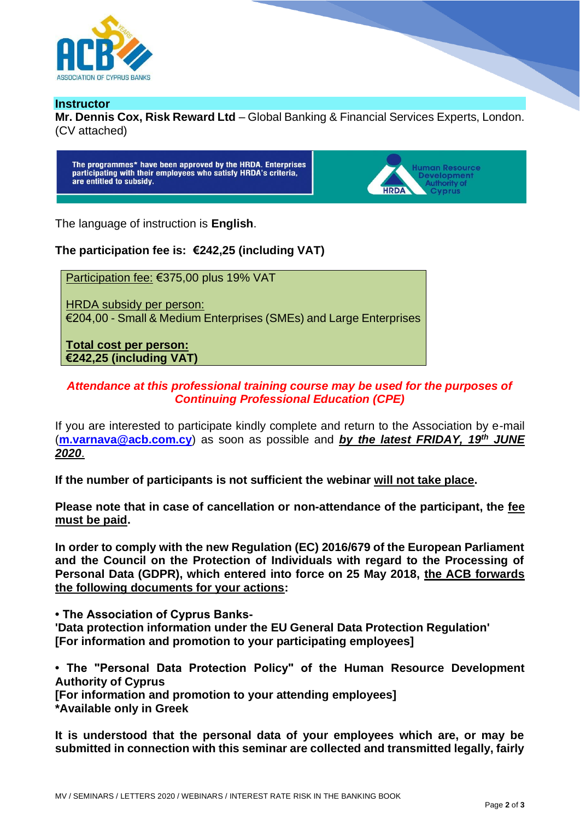

#### **Instructor**

**Mr. Dennis Cox, Risk Reward Ltd** – Global Banking & Financial Services Experts, London. (CV attached)

The programmes\* have been approved by the HRDA. Enterprises participating with their employees who satisfy HRDA's criteria, are entitled to subsidy.



The language of instruction is **English**.

## **The participation fee is: €242,25 (including VAT)**

Participation fee: €375,00 plus 19% VAT

HRDA subsidy per person: €204,00 - Small & Medium Enterprises (SMEs) and Large Enterprises

**Total cost per person: €242,25 (including VAT)** 

### *Attendance at this professional training course may be used for the purposes of Continuing Professional Education (CPE)*

If you are interested to participate kindly complete and return to the Association by e-mail (**[m.varnava@acb.com.cy](mailto:m.varnava@acb.com.cy)**) as soon as possible and *by the latest FRIDAY, 19th JUNE 2020*.

**If the number of participants is not sufficient the webinar will not take place.**

**Please note that in case of cancellation or non-attendance of the participant, the fee must be paid.** 

**In order to comply with the new Regulation (EC) 2016/679 of the European Parliament and the Council on the Protection of Individuals with regard to the Processing of Personal Data (GDPR), which entered into force on 25 May 2018, the ACB forwards the following documents for your actions:**

**• The Association of Cyprus Banks-**

**'Data protection information under the EU General Data Protection Regulation' [For information and promotion to your participating employees]**

**• The "Personal Data Protection Policy" of the Human Resource Development Authority of Cyprus**

**[For information and promotion to your attending employees]** 

**\*Available only in Greek**

**It is understood that the personal data of your employees which are, or may be submitted in connection with this seminar are collected and transmitted legally, fairly**